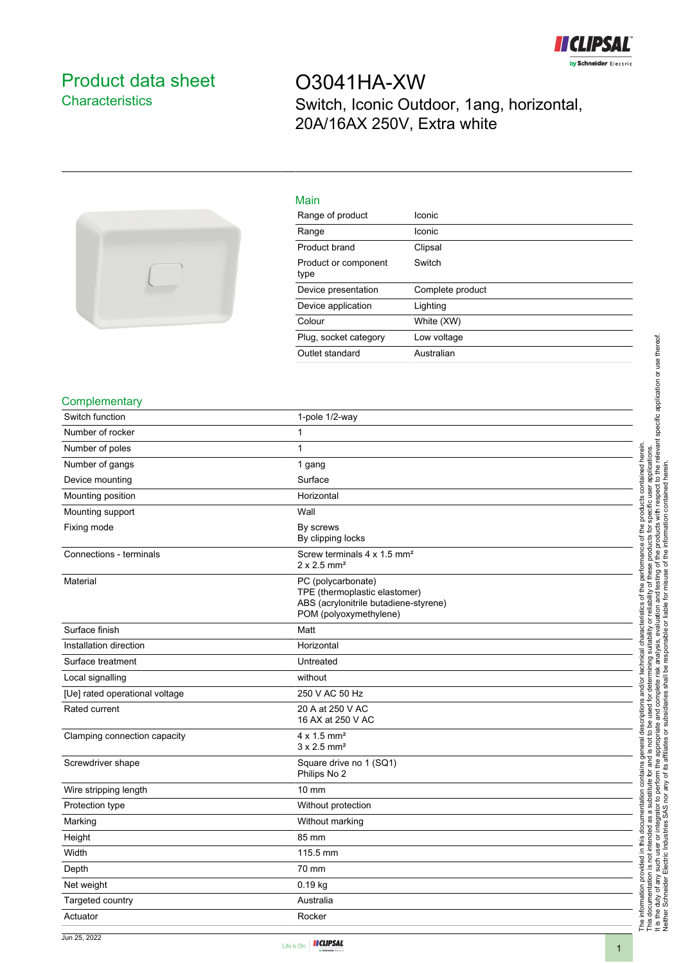

## <span id="page-0-0"></span>Product data sheet **Characteristics**

# O3041HA-XW Switch, Iconic Outdoor, 1ang, horizontal, 20A/16AX 250V, Extra white



| Main                         |                  |
|------------------------------|------------------|
| Range of product             | Iconic           |
| Range                        | Iconic           |
| Product brand                | Clipsal          |
| Product or component<br>type | Switch           |
| Device presentation          | Complete product |
| Device application           | Lighting         |
| Colour                       | White (XW)       |
| Plug, socket category        | Low voltage      |

Outlet standard **Australian** 

#### **Complementary**

| Switch function                | 1-pole 1/2-way                                                                                                         |
|--------------------------------|------------------------------------------------------------------------------------------------------------------------|
| Number of rocker               | 1                                                                                                                      |
| Number of poles                | 1                                                                                                                      |
| Number of gangs                | 1 gang                                                                                                                 |
| Device mounting                | Surface                                                                                                                |
| Mounting position              | Horizontal                                                                                                             |
| Mounting support               | Wall                                                                                                                   |
| Fixing mode                    | By screws<br>By clipping locks                                                                                         |
| Connections - terminals        | Screw terminals 4 x 1.5 mm <sup>2</sup><br>$2 \times 2.5$ mm <sup>2</sup>                                              |
| Material                       | PC (polycarbonate)<br>TPE (thermoplastic elastomer)<br>ABS (acrylonitrile butadiene-styrene)<br>POM (polyoxymethylene) |
| Surface finish                 | Matt                                                                                                                   |
| Installation direction         | Horizontal                                                                                                             |
| Surface treatment              | Untreated                                                                                                              |
| Local signalling               | without                                                                                                                |
| [Ue] rated operational voltage | 250 V AC 50 Hz                                                                                                         |
| Rated current                  | 20 A at 250 V AC<br>16 AX at 250 V AC                                                                                  |
| Clamping connection capacity   | $4 \times 1.5$ mm <sup>2</sup><br>$3 \times 2.5$ mm <sup>2</sup>                                                       |
| Screwdriver shape              | Square drive no 1 (SQ1)<br>Philips No 2                                                                                |
| Wire stripping length          | $10 \text{ mm}$                                                                                                        |
| Protection type                | Without protection                                                                                                     |
| Marking                        | Without marking                                                                                                        |
| Height                         | 85 mm                                                                                                                  |
| Width                          | 115.5 mm                                                                                                               |
| Depth                          | 70 mm                                                                                                                  |
| Net weight                     | 0.19 kg                                                                                                                |
| Targeted country               | Australia                                                                                                              |
| Actuator                       | Rocker                                                                                                                 |